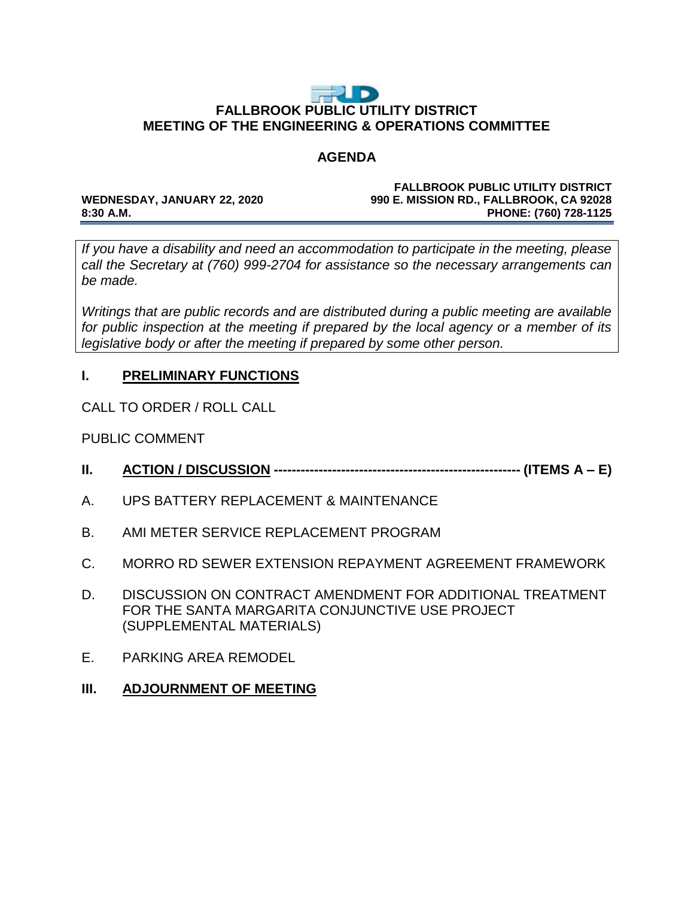# FUD **FALLBROOK PUBLIC UTILITY DISTRICT MEETING OF THE ENGINEERING & OPERATIONS COMMITTEE**

## **AGENDA**

### **FALLBROOK PUBLIC UTILITY DISTRICT WEDNESDAY, JANUARY 22, 2020 990 E. MISSION RD., FALLBROOK, CA 92028 8:30 A.M. PHONE: (760) 728-1125**

*If you have a disability and need an accommodation to participate in the meeting, please call the Secretary at (760) 999-2704 for assistance so the necessary arrangements can be made.* 

*Writings that are public records and are distributed during a public meeting are available for public inspection at the meeting if prepared by the local agency or a member of its legislative body or after the meeting if prepared by some other person.* 

# **I. PRELIMINARY FUNCTIONS**

CALL TO ORDER / ROLL CALL

PUBLIC COMMENT

- **II. ACTION / DISCUSSION ------------------------------------------------------- (ITEMS A – E)**
- A. UPS BATTERY REPLACEMENT & MAINTENANCE
- B. AMI METER SERVICE REPLACEMENT PROGRAM
- C. MORRO RD SEWER EXTENSION REPAYMENT AGREEMENT FRAMEWORK
- D. DISCUSSION ON CONTRACT AMENDMENT FOR ADDITIONAL TREATMENT FOR THE SANTA MARGARITA CONJUNCTIVE USE PROJECT (SUPPLEMENTAL MATERIALS)
- E. PARKING AREA REMODEL
- **III. ADJOURNMENT OF MEETING**